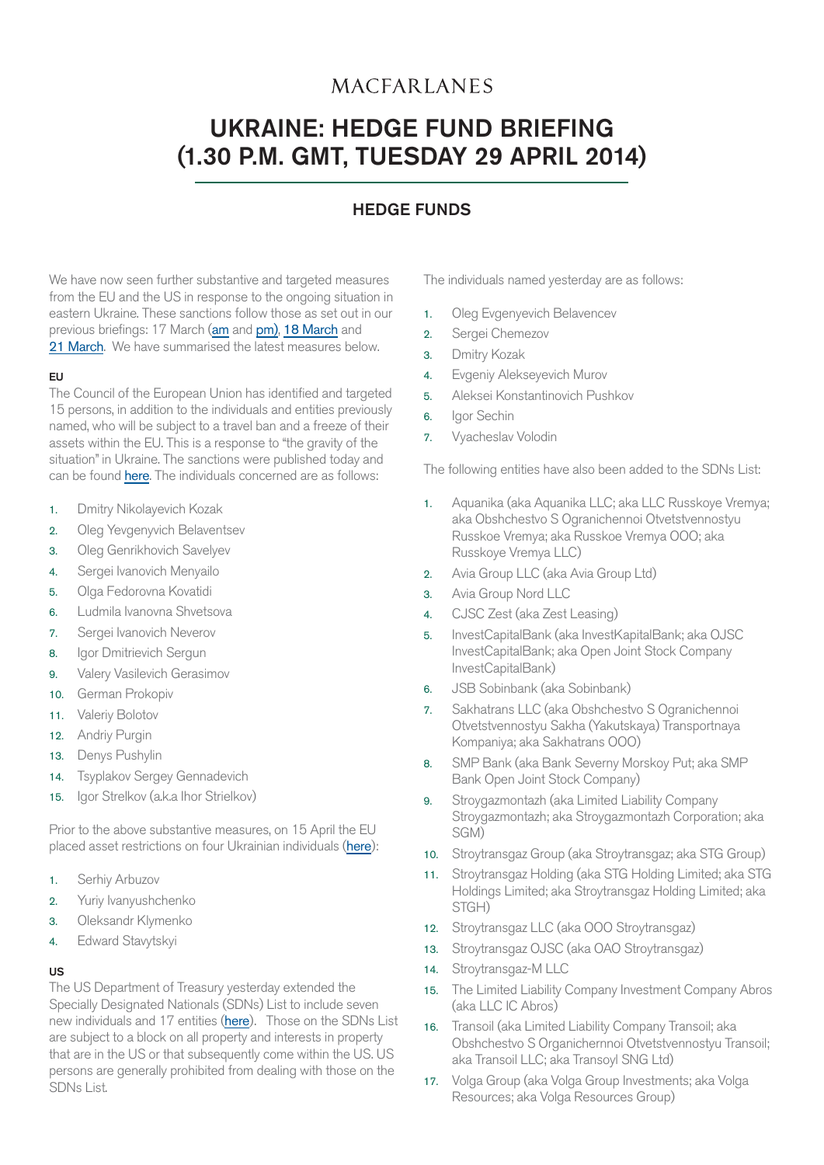## MACFARIANES

# UKRAINE: HEDGE FUND BRIEFING (1.30 P.M. GMT, TUESDAY 29 APRIL 2014)

### HEDGE FUNDS

We have now seen further substantive and targeted measures from the EU and the US in response to the ongoing situation in eastern Ukraine. These sanctions follow those as set out in our previous briefings: 17 March (am and pm), 18 March and 21 March. We have summarised the latest measures below.

#### EU

The Council of the European Union has identified and targeted 15 persons, in addition to the individuals and entities previously named, who will be subject to a travel ban and a freeze of their assets within the EU. This is a response to "the gravity of the situation" in Ukraine. The sanctions were published today and can be found [here](http://eur-lex.europa.eu/legal-content/EN/TXT/?uri=uriserv:OJ.L_.2014.126.01.0048.01.ENG). The individuals concerned are as follows:

- 1. Dmitry Nikolayevich Kozak
- 2. Oleg Yevgenyvich Belaventsev
- 3. Oleg Genrikhovich Savelyev
- 4. Sergei Ivanovich Menyailo
- 5. Olga Fedorovna Kovatidi
- 6. Ludmila Ivanovna Shvetsova
- 7. Sergei Ivanovich Neverov
- 8. Igor Dmitrievich Sergun
- 9. Valery Vasilevich Gerasimov
- 10. German Prokopiv
- 11. Valeriy Bolotov
- 12. Andriy Purgin
- 13. Denys Pushylin
- 14. Tsyplakov Sergey Gennadevich
- 15. Igor Strelkov (a.k.a Ihor Strielkov)

Prior to the above substantive measures, on 15 Ap[ril the EU](http://eur-lex.europa.eu/legal-content/EN/TXT/?uri=uriserv:OJ.L_.2014.111.01.0033.01.ENG)  placed asset restrictions on four Ukrainian individuals (here):

- 1. Serhiy Arbuzov
- 2. Yuriy Ivanyushchenko
- 3. Oleksandr Klymenko
- 4. Edward Stavytskyi

#### US

The US Department of Treasury yesterday extended the Specially Designated Nationals (SDNs) List to include seven new individuals and 17 entities (here). Those on the SDNs List are subject to a block on all [property and](http://eur-lex.europa.eu/legal-content/EN/TXT/?uri=uriserv:OJ.L_.2014.111.01.0033.01.ENG) interests in property that are in the US or that subsequently come within the US. US persons are generally prohibited from dealing with those on the SDNs List.

The individuals named yesterday are as follows:

- 1. Oleg Evgenyevich Belavencev
- 2. Sergei Chemezov
- 3. Dmitry Kozak
- 4. Evgeniy Alekseyevich Murov
- 5. Aleksei Konstantinovich Pushkov
- 6. Igor Sechin
- 7. Vyacheslav Volodin

The following entities have also been added to the SDNs List:

- 1. Aquanika (aka Aquanika LLC; aka LLC Russkoye Vremya; aka Obshchestvo S Ogranichennoi Otvetstvennostyu Russkoe Vremya; aka Russkoe Vremya OOO; aka Russkoye Vremya LLC)
- 2. Avia Group LLC (aka Avia Group Ltd)
- 3. Avia Group Nord LLC
- 4. CJSC Zest (aka Zest Leasing)
- 5. InvestCapitalBank (aka InvestKapitalBank; aka OJSC InvestCapitalBank; aka Open Joint Stock Company InvestCapitalBank)
- 6. JSB Sobinbank (aka Sobinbank)
- 7. Sakhatrans LLC (aka Obshchestvo S Ogranichennoi Otvetstvennostyu Sakha (Yakutskaya) Transportnaya Kompaniya; aka Sakhatrans OOO)
- 8. SMP Bank (aka Bank Severny Morskoy Put; aka SMP Bank Open Joint Stock Company)
- 9. Stroygazmontazh (aka Limited Liability Company Stroygazmontazh; aka Stroygazmontazh Corporation; aka SGM)
- 10. Stroytransgaz Group (aka Stroytransgaz; aka STG Group)
- 11. Stroytransgaz Holding (aka STG Holding Limited; aka STG Holdings Limited; aka Stroytransgaz Holding Limited; aka STGH)
- 12. Stroytransgaz LLC (aka OOO Stroytransgaz)
- 13. Stroytransgaz OJSC (aka OAO Stroytransgaz)
- 14. Stroytransgaz-M LLC
- 15. The Limited Liability Company Investment Company Abros (aka LLC IC Abros)
- 16. Transoil (aka Limited Liability Company Transoil; aka Obshchestvo S Organichernnoi Otvetstvennostyu Transoil; aka Transoil LLC; aka Transoyl SNG Ltd)
- 17. Volga Group (aka Volga Group Investments; aka Volga Resources; aka Volga Resources Group)